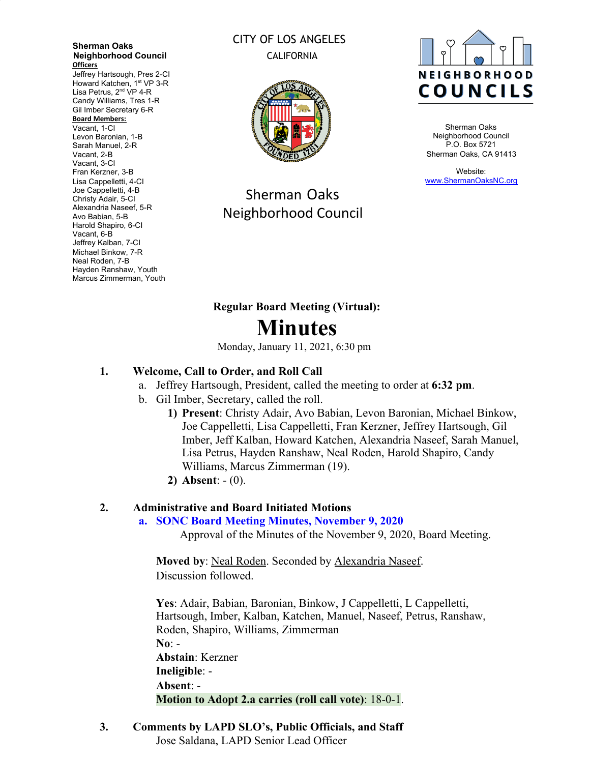**Sherman Oaks Neighborhood Council Officers**

Jeffrey Hartsough, Pres 2-CI Howard Katchen, 1<sup>st</sup> VP 3-R Lisa Petrus, 2<sup>nd</sup> VP 4-R Candy Williams, Tres 1-R Gil Imber Secretary 6-R **Board Members:** Vacant, 1-CI Levon Baronian, 1-B Sarah Manuel, 2-R

Vacant, 2-B Vacant, 3-CI Fran Kerzner, 3-B Lisa Cappelletti, 4-CI Joe Cappelletti, 4-B Christy Adair, 5-CI Alexandria Naseef, 5-R Avo Babian, 5-B Harold Shapiro, 6-CI Vacant, 6-B Jeffrey Kalban, 7-CI Michael Binkow, 7-R Neal Roden, 7-B Hayden Ranshaw, Youth Marcus Zimmerman, Youth

## CITY OF LOS ANGELES CALIFORNIA



Sherman Oaks Neighborhood Council



Sherman Oaks Neighborhood Council P.O. Box 5721 Sherman Oaks, CA 91413

Website: [www.ShermanOaksNC.org](http://www.shermanoaksnc.org/)

# **Regular Board Meeting (Virtual): Minutes**

Monday, January 11, 2021, 6:30 pm

# **1. Welcome, Call to Order, and Roll Call**

- a. Jeffrey Hartsough, President, called the meeting to order at **6:32 pm**.
- b. Gil Imber, Secretary, called the roll.
	- **1) Present**: Christy Adair, Avo Babian, Levon Baronian, Michael Binkow, Joe Cappelletti, Lisa Cappelletti, Fran Kerzner, Jeffrey Hartsough, Gil Imber, Jeff Kalban, Howard Katchen, Alexandria Naseef, Sarah Manuel, Lisa Petrus, Hayden Ranshaw, Neal Roden, Harold Shapiro, Candy Williams, Marcus Zimmerman (19).
	- **2) Absent**: (0).

## **2. Administrative and Board Initiated Motions**

**a. SONC Board Meeting Minutes, November 9, 2020**

Approval of the Minutes of the November 9, 2020, Board Meeting.

**Moved by**: Neal Roden. Seconded by Alexandria Naseef. Discussion followed.

**Yes**: Adair, Babian, Baronian, Binkow, J Cappelletti, L Cappelletti, Hartsough, Imber, Kalban, Katchen, Manuel, Naseef, Petrus, Ranshaw, Roden, Shapiro, Williams, Zimmerman **No**: - **Abstain**: Kerzner **Ineligible**: - **Absent**: - **Motion to Adopt 2.a carries (roll call vote)**: 18-0-1.

**3. Comments by LAPD SLO's, Public Officials, and Staff** Jose Saldana, LAPD Senior Lead Officer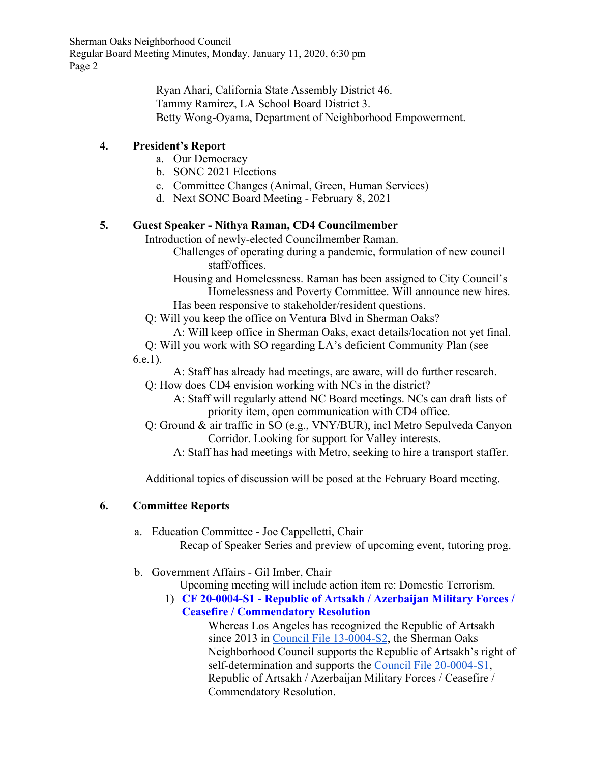> Ryan Ahari, California State Assembly District 46. Tammy Ramirez, LA School Board District 3. Betty Wong-Oyama, Department of Neighborhood Empowerment.

## **4. President's Report**

- a. Our Democracy
- b. SONC 2021 Elections
- c. Committee Changes (Animal, Green, Human Services)
- d. Next SONC Board Meeting February 8, 2021

## **5. Guest Speaker - Nithya Raman, CD4 Councilmember**

Introduction of newly-elected Councilmember Raman.

- Challenges of operating during a pandemic, formulation of new council staff/offices.
- Housing and Homelessness. Raman has been assigned to City Council's Homelessness and Poverty Committee. Will announce new hires. Has been responsive to stakeholder/resident questions.
- Q: Will you keep the office on Ventura Blvd in Sherman Oaks?
	- A: Will keep office in Sherman Oaks, exact details/location not yet final.
- Q: Will you work with SO regarding LA's deficient Community Plan (see 6.e.1).
	- A: Staff has already had meetings, are aware, will do further research.
	- Q: How does CD4 envision working with NCs in the district?
		- A: Staff will regularly attend NC Board meetings. NCs can draft lists of priority item, open communication with CD4 office.
	- Q: Ground & air traffic in SO (e.g., VNY/BUR), incl Metro Sepulveda Canyon Corridor. Looking for support for Valley interests.
		- A: Staff has had meetings with Metro, seeking to hire a transport staffer.

Additional topics of discussion will be posed at the February Board meeting.

## **6. Committee Reports**

- a. Education Committee Joe Cappelletti, Chair Recap of Speaker Series and preview of upcoming event, tutoring prog.
- b. Government Affairs Gil Imber, Chair
	- Upcoming meeting will include action item re: Domestic Terrorism.
	- 1) **CF 20-0004-S1 Republic of Artsakh / Azerbaijan Military Forces / Ceasefire / Commendatory Resolution**

Whereas Los Angeles has recognized the Republic of Artsakh since 2013 in [Council File 13-0004-S2](https://cityclerk.lacity.org/lacityclerkconnect/index.cfm?fa=ccfi.viewrecord&cfnumber=13-0004-S2), the Sherman Oaks Neighborhood Council supports the Republic of Artsakh's right of self-determination and supports the [Council File 20-0004-S1,](https://cityclerk.lacity.org/lacityclerkconnect/index.cfm?fa=ccfi.viewrecord&cfnumber=20-0004-S1) Republic of Artsakh / Azerbaijan Military Forces / Ceasefire / Commendatory Resolution.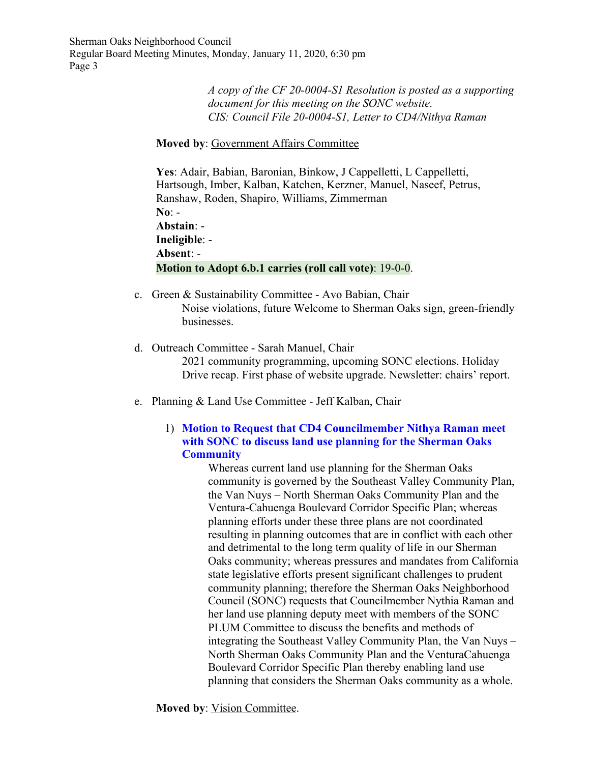> *A copy of the CF 20-0004-S1 Resolution is posted as a supporting document for this meeting on the SONC website. CIS: Council File 20-0004-S1, Letter to CD4/Nithya Raman*

#### **Moved by**: Government Affairs Committee

**Yes**: Adair, Babian, Baronian, Binkow, J Cappelletti, L Cappelletti, Hartsough, Imber, Kalban, Katchen, Kerzner, Manuel, Naseef, Petrus, Ranshaw, Roden, Shapiro, Williams, Zimmerman **No**: - **Abstain**: - **Ineligible**: - **Absent**: - **Motion to Adopt 6.b.1 carries (roll call vote)**: 19-0-0.

- c. Green & Sustainability Committee Avo Babian, Chair Noise violations, future Welcome to Sherman Oaks sign, green-friendly businesses.
- d. Outreach Committee Sarah Manuel, Chair 2021 community programming, upcoming SONC elections. Holiday Drive recap. First phase of website upgrade. Newsletter: chairs' report.
- e. Planning & Land Use Committee Jeff Kalban, Chair

#### 1) **Motion to Request that CD4 Councilmember Nithya Raman meet with SONC to discuss land use planning for the Sherman Oaks Community**

Whereas current land use planning for the Sherman Oaks community is governed by the Southeast Valley Community Plan, the Van Nuys – North Sherman Oaks Community Plan and the Ventura-Cahuenga Boulevard Corridor Specific Plan; whereas planning efforts under these three plans are not coordinated resulting in planning outcomes that are in conflict with each other and detrimental to the long term quality of life in our Sherman Oaks community; whereas pressures and mandates from California state legislative efforts present significant challenges to prudent community planning; therefore the Sherman Oaks Neighborhood Council (SONC) requests that Councilmember Nythia Raman and her land use planning deputy meet with members of the SONC PLUM Committee to discuss the benefits and methods of integrating the Southeast Valley Community Plan, the Van Nuys – North Sherman Oaks Community Plan and the VenturaCahuenga Boulevard Corridor Specific Plan thereby enabling land use planning that considers the Sherman Oaks community as a whole.

**Moved by**: Vision Committee.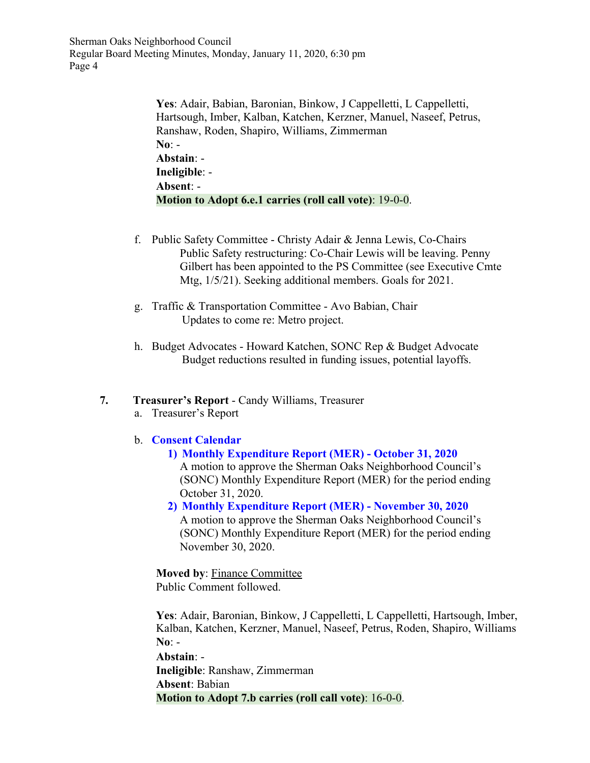> **Yes**: Adair, Babian, Baronian, Binkow, J Cappelletti, L Cappelletti, Hartsough, Imber, Kalban, Katchen, Kerzner, Manuel, Naseef, Petrus, Ranshaw, Roden, Shapiro, Williams, Zimmerman **No**: - **Abstain**: - **Ineligible**: - **Absent**: - **Motion to Adopt 6.e.1 carries (roll call vote)**: 19-0-0.

- f. Public Safety Committee Christy Adair & Jenna Lewis, Co-Chairs Public Safety restructuring: Co-Chair Lewis will be leaving. Penny Gilbert has been appointed to the PS Committee (see Executive Cmte Mtg, 1/5/21). Seeking additional members. Goals for 2021.
- g. Traffic & Transportation Committee Avo Babian, Chair Updates to come re: Metro project.
- h. Budget Advocates Howard Katchen, SONC Rep & Budget Advocate Budget reductions resulted in funding issues, potential layoffs.

#### **7. Treasurer's Report** - Candy Williams, Treasurer

a. Treasurer's Report

#### b. **Consent Calendar**

- **1) Monthly Expenditure Report (MER) October 31, 2020** A motion to approve the Sherman Oaks Neighborhood Council's (SONC) Monthly Expenditure Report (MER) for the period ending October 31, 2020.
- **2) Monthly Expenditure Report (MER) November 30, 2020** A motion to approve the Sherman Oaks Neighborhood Council's (SONC) Monthly Expenditure Report (MER) for the period ending November 30, 2020.

**Moved by**: Finance Committee Public Comment followed.

Yes: Adair, Baronian, Binkow, J Cappelletti, L Cappelletti, Hartsough, Imber, Kalban, Katchen, Kerzner, Manuel, Naseef, Petrus, Roden, Shapiro, Williams **No**: -

**Abstain**: - **Ineligible**: Ranshaw, Zimmerman **Absent**: Babian **Motion to Adopt 7.b carries (roll call vote)**: 16-0-0.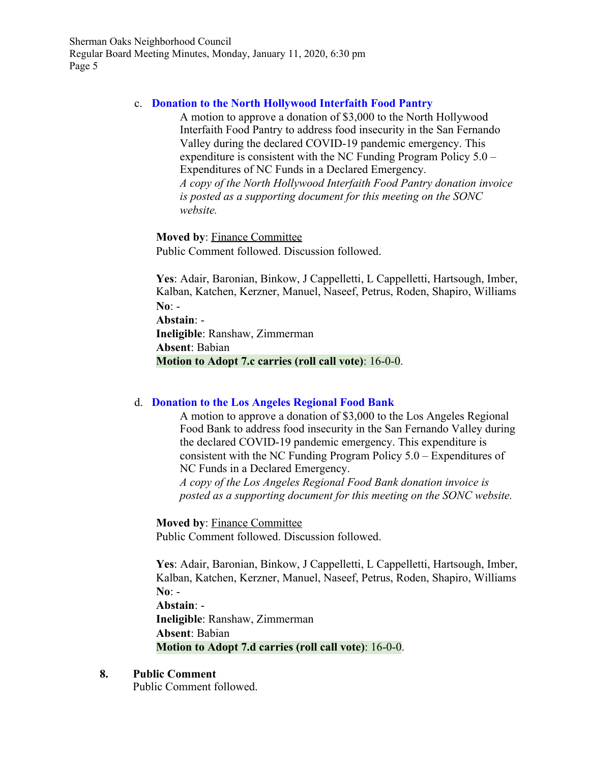#### c. **Donation to the North Hollywood Interfaith Food Pantry**

A motion to approve a donation of \$3,000 to the North Hollywood Interfaith Food Pantry to address food insecurity in the San Fernando Valley during the declared COVID-19 pandemic emergency. This expenditure is consistent with the NC Funding Program Policy 5.0 – Expenditures of NC Funds in a Declared Emergency. *A copy of the North Hollywood Interfaith Food Pantry donation invoice is posted as a supporting document for this meeting on the SONC website.*

**Moved by**: Finance Committee Public Comment followed. Discussion followed.

**Yes**: Adair, Baronian, Binkow, J Cappelletti, L Cappelletti, Hartsough, Imber, Kalban, Katchen, Kerzner, Manuel, Naseef, Petrus, Roden, Shapiro, Williams **No**: -

**Abstain**: -

**Ineligible**: Ranshaw, Zimmerman **Absent**: Babian **Motion to Adopt 7.c carries (roll call vote)**: 16-0-0.

## d. **Donation to the Los Angeles Regional Food Bank**

A motion to approve a donation of \$3,000 to the Los Angeles Regional Food Bank to address food insecurity in the San Fernando Valley during the declared COVID-19 pandemic emergency. This expenditure is consistent with the NC Funding Program Policy 5.0 – Expenditures of NC Funds in a Declared Emergency.

*A copy of the Los Angeles Regional Food Bank donation invoice is posted as a supporting document for this meeting on the SONC website.*

**Moved by**: Finance Committee Public Comment followed. Discussion followed.

**Yes**: Adair, Baronian, Binkow, J Cappelletti, L Cappelletti, Hartsough, Imber, Kalban, Katchen, Kerzner, Manuel, Naseef, Petrus, Roden, Shapiro, Williams **No**: -

**Abstain**: -

**Ineligible**: Ranshaw, Zimmerman **Absent**: Babian **Motion to Adopt 7.d carries (roll call vote)**: 16-0-0.

#### **8. Public Comment**

Public Comment followed.